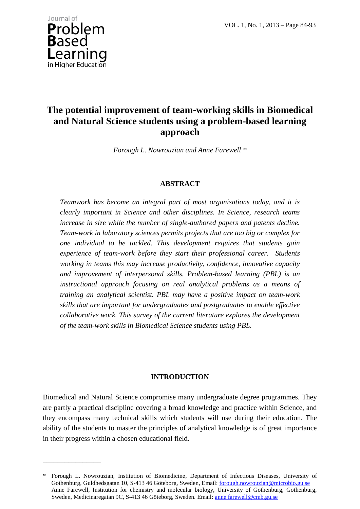VOL. 1, No. 1, 2013 – Page 84-93



\_\_\_\_\_\_\_\_\_\_\_\_\_\_\_\_

# **The potential improvement of team-working skills in Biomedical and Natural Science students using a problem-based learning approach**

*Forough L. Nowrouzian and Anne Farewell \**

### **ABSTRACT**

*Teamwork has become an integral part of most organisations today, and it is clearly important in Science and other disciplines. In Science, research teams increase in size while the number of single-authored papers and patents decline. Team-work in laboratory sciences permits projects that are too big or complex for one individual to be tackled. This development requires that students gain experience of team-work before they start their professional career. Students working in teams this may increase productivity, confidence, innovative capacity and improvement of interpersonal skills. Problem-based learning (PBL) is an instructional approach focusing on real analytical problems as a means of training an analytical scientist. PBL may have a positive impact on team-work skills that are important for undergraduates and postgraduates to enable effective collaborative work. This survey of the current literature explores the development of the team-work skills in Biomedical Science students using PBL.*

### **INTRODUCTION**

Biomedical and Natural Science compromise many undergraduate degree programmes. They are partly a practical discipline covering a broad knowledge and practice within Science, and they encompass many technical skills which students will use during their education. The ability of the students to master the principles of analytical knowledge is of great importance in their progress within a chosen educational field.

<sup>\*</sup> Forough L. Nowrouzian, Institution of Biomedicine, Department of Infectious Diseases, University of Gothenburg, Guldhedsgatan 10, S-413 46 Göteborg, Sweden, Email: forough.nowrouzian@microbio.gu.se Anne Farewell, Institution for chemistry and molecular biology, University of Gothenburg, Gothenburg, Sweden, Medicinaregatan 9C, S-413 46 Göteborg, Sweden. Email: anne.farewell@cmb.gu.se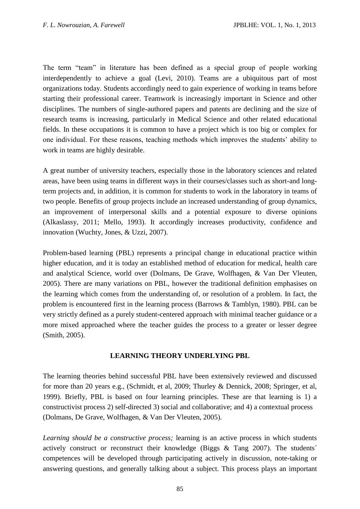The term "team" in literature has been defined as a special group of people working interdependently to achieve a goal [\(Levi, 2010\)](#page-7-0). Teams are a ubiquitous part of most organizations today. Students accordingly need to gain experience of working in teams before starting their professional career. Teamwork is increasingly important in Science and other disciplines. The numbers of single-authored papers and patents are declining and the size of research teams is increasing, particularly in Medical Science and other related educational fields. In these occupations it is common to have a project which is too big or complex for one individual. For these reasons, teaching methods which improves the students' ability to work in teams are highly desirable.

A great number of university teachers, especially those in the laboratory sciences and related areas, have been using teams in different ways in their courses/classes such as short-and longterm projects and, in addition, it is common for students to work in the laboratory in teams of two people. Benefits of group projects include an increased understanding of group dynamics, an improvement of interpersonal skills and a potential exposure to diverse opinions [\(Alkaslassy, 2011;](#page-6-0) [Mello, 1993\)](#page-7-1). It accordingly increases productivity, confidence and innovation [\(Wuchty, Jones, & Uzzi, 2007\)](#page-9-0).

Problem-based learning (PBL) represents a principal change in educational practice within higher education, and it is today an established method of education for medical, health care and analytical Science, world over (Dolmans, De Grave, Wolfhagen, & Van Der Vleuten, 2005). There are many variations on PBL, however the traditional definition emphasises on the learning which comes from the understanding of, or resolution of a problem. In fact, the problem is encountered first in the learning process [\(Barrows & Tamblyn, 1980\)](#page-7-2). PBL can be very strictly defined as a purely student-centered approach with minimal teacher guidance or a more mixed approached where the teacher guides the process to a greater or lesser degree [\(Smith, 2005\)](#page-8-0).

# **LEARNING THEORY UNDERLYING PBL**

The learning theories behind successful PBL have been extensively reviewed and discussed for more than 20 years e.g., (Schmidt, et al, 2009; Thurley & Dennick, 2008; Springer, et al, 1999). Briefly, PBL is based on four learning principles. These are that learning is 1) a constructivist process 2) self-directed 3) social and collaborative; and 4) a contextual process (Dolmans, De Grave, Wolfhagen, & Van Der Vleuten, 2005).

*Learning should be a constructive process;* learning is an active process in which students actively construct or reconstruct their knowledge [\(Biggs & Tang 2007\)](#page-7-3). The students´ competences will be developed through participating actively in discussion, note-taking or answering questions, and generally talking about a subject. This process plays an important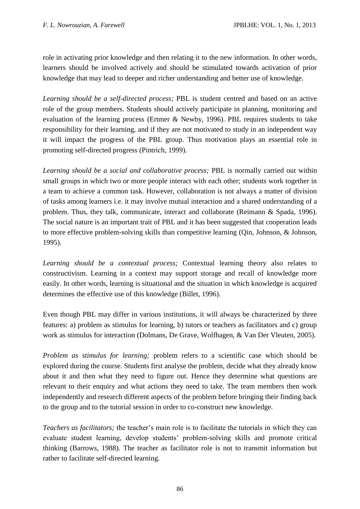role in activating prior knowledge and then relating it to the new information. In other words, learners should be involved actively and should be stimulated towards activation of prior knowledge that may lead to deeper and richer understanding and better use of knowledge.

*Learning should be a self-directed process;* PBL is student centred and based on an active role of the group members. Students should actively participate in planning, monitoring and evaluation of the learning process [\(Ertmer & Newby, 1996\)](#page-7-4). PBL requires students to take responsibility for their learning, and if they are not motivated to study in an independent way it will impact the progress of the PBL group. Thus motivation plays an essential role in promoting self-directed progress [\(Pintrich, 1999\)](#page-8-1).

*Learning should be a social and collaborative process;* PBL is normally carried out within small groups in which two or more people interact with each other; students work together in a team to achieve a common task. However, collaboration is not always a matter of division of tasks among learners i.e. it may involve mutual interaction and a shared understanding of a problem. Thus, they talk, communicate, interact and collaborate [\(Reimann & Spada, 1996\)](#page-8-2). The social nature is an important trait of PBL and it has been suggested that cooperation leads to more effective problem-solving skills than competitive learning [\(Qin, Johnson, & Johnson,](#page-8-3)  [1995\)](#page-8-3).

*Learning should be a contextual process;* Contextual learning theory also relates to constructivism. Learning in a context may support storage and recall of knowledge more easily. In other words, learning is situational and the situation in which knowledge is acquired determines the effective use of this knowledge [\(Billet, 1996\)](#page-7-5).

Even though PBL may differ in various institutions, it will always be characterized by three features: a) problem as stimulus for learning, b) tutors or teachers as facilitators and c) group work as stimulus for interaction (Dolmans, De Grave, Wolfhagen, & Van Der Vleuten, 2005).

*Problem as stimulus for learning;* problem refers to a scientific case which should be explored during the course. Students first analyse the problem, decide what they already know about it and then what they need to figure out. Hence they determine what questions are relevant to their enquiry and what actions they need to take. The team members then work independently and research different aspects of the problem before bringing their finding back to the group and to the tutorial session in order to co-construct new knowledge.

*Teachers as facilitators;* the teacher's main role is to facilitate the tutorials in which they can evaluate student learning, develop students' problem-solving skills and promote critical thinking [\(Barrows, 1988\)](#page-7-6). The teacher as facilitator role is not to transmit information but rather to facilitate self-directed learning.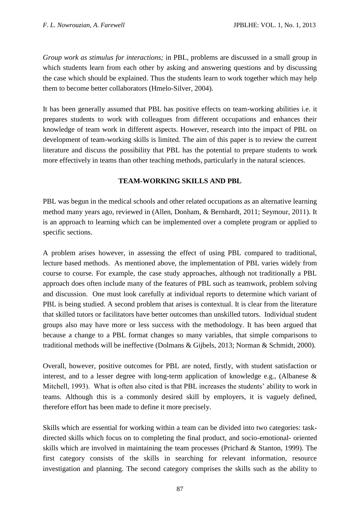*Group work as stimulus for interactions;* in PBL, problems are discussed in a small group in which students learn from each other by asking and answering questions and by discussing the case which should be explained. Thus the students learn to work together which may help them to become better collaborators [\(Hmelo-Silver, 2004\)](#page-7-7).

It has been generally assumed that PBL has positive effects on team-working abilities i.e. it prepares students to work with colleagues from different occupations and enhances their knowledge of team work in different aspects. However, research into the impact of PBL on development of team-working skills is limited. The aim of this paper is to review the current literature and discuss the possibility that PBL has the potential to prepare students to work more effectively in teams than other teaching methods, particularly in the natural sciences.

# **TEAM-WORKING SKILLS AND PBL**

PBL was begun in the medical schools and other related occupations as an alternative learning method many years ago, reviewed in [\(Allen, Donham, & Bernhardt, 2011;](#page-6-1) [Seymour, 2011\)](#page-8-4). It is an approach to learning which can be implemented over a complete program or applied to specific sections.

A problem arises however, in assessing the effect of using PBL compared to traditional, lecture based methods. As mentioned above, the implementation of PBL varies widely from course to course. For example, the case study approaches, although not traditionally a PBL approach does often include many of the features of PBL such as teamwork, problem solving and discussion. One must look carefully at individual reports to determine which variant of PBL is being studied. A second problem that arises is contextual. It is clear from the literature that skilled tutors or facilitators have better outcomes than unskilled tutors. Individual student groups also may have more or less success with the methodology. It has been argued that because a change to a PBL format changes so many variables, that simple comparisons to traditional methods will be ineffective [\(Dolmans & Gijbels, 2013;](#page-7-8) [Norman & Schmidt, 2000\)](#page-8-5).

Overall, however, positive outcomes for PBL are noted, firstly, with student satisfaction or interest, and to a lesser degree with long-term application of knowledge e.g., (Albanese & Mitchell, 1993). What is often also cited is that PBL increases the students' ability to work in teams. Although this is a commonly desired skill by employers, it is vaguely defined, therefore effort has been made to define it more precisely.

Skills which are essential for working within a team can be divided into two categories: taskdirected skills which focus on to completing the final product, and socio-emotional- oriented skills which are involved in maintaining the team processes [\(Prichard & Stanton, 1999\)](#page-8-6). The first category consists of the skills in searching for relevant information, resource investigation and planning. The second category comprises the skills such as the ability to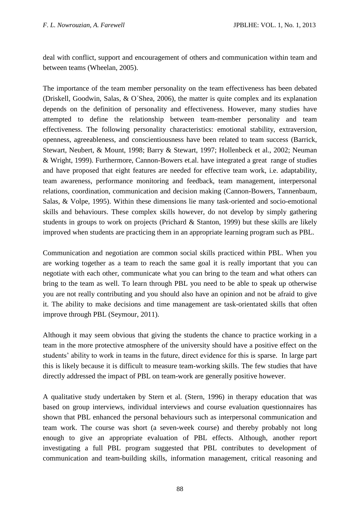deal with conflict, support and encouragement of others and communication within team and between teams [\(Wheelan, 2005\)](#page-8-7).

The importance of the team member personality on the team effectiveness has been debated [\(Driskell, Goodwin, Salas, & O´Shea, 2006\)](#page-7-9), the matter is quite complex and its explanation depends on the definition of personality and effectiveness. However, many studies have attempted to define the relationship between team-member personality and team effectiveness. The following personality characteristics: emotional stability, extraversion, openness, agreeableness, and conscientiousness have been related to team success [\(Barrick,](#page-6-2)  [Stewart, Neubert, & Mount, 1998;](#page-6-2) [Barry & Stewart, 1997;](#page-7-10) [Hollenbeck et al., 2002;](#page-7-11) [Neuman](#page-8-8)  [& Wright, 1999\)](#page-8-8). Furthermore, Cannon-Bowers et.al. have integrated a great range of studies and have proposed that eight features are needed for effective team work, i.e. adaptability, team awareness, performance monitoring and feedback, team management, interpersonal relations, coordination, communication and decision making [\(Cannon-Bowers, Tannenbaum,](#page-7-12)  [Salas, & Volpe, 1995\)](#page-7-12). Within these dimensions lie many task-oriented and socio-emotional skills and behaviours. These complex skills however, do not develop by simply gathering students in groups to work on projects [\(Prichard & Stanton, 1999\)](#page-8-6) but these skills are likely improved when students are practicing them in an appropriate learning program such as PBL.

Communication and negotiation are common social skills practiced within PBL. When you are working together as a team to reach the same goal it is really important that you can negotiate with each other, communicate what you can bring to the team and what others can bring to the team as well. To learn through PBL you need to be able to speak up otherwise you are not really contributing and you should also have an opinion and not be afraid to give it. The ability to make decisions and time management are task-orientated skills that often improve through PBL [\(Seymour, 2011\)](#page-8-4).

Although it may seem obvious that giving the students the chance to practice working in a team in the more protective atmosphere of the university should have a positive effect on the students' ability to work in teams in the future, direct evidence for this is sparse. In large part this is likely because it is difficult to measure team-working skills. The few studies that have directly addressed the impact of PBL on team-work are generally positive however.

A qualitative study undertaken by Stern et al. (Stern, 1996) in therapy education that was based on group interviews, individual interviews and course evaluation questionnaires has shown that PBL enhanced the personal behaviours such as interpersonal communication and team work. The course was short (a seven-week course) and thereby probably not long enough to give an appropriate evaluation of PBL effects. Although, another report investigating a full PBL program suggested that PBL contributes to development of communication and team-building skills, information management, critical reasoning and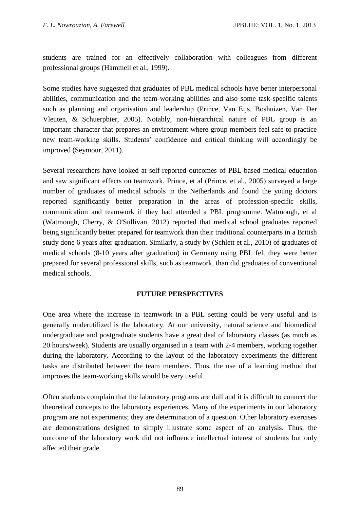students are trained for an effectively collaboration with colleagues from different professional groups [\(Hammell et al., 1999\)](#page-7-13).

Some studies have suggested that graduates of PBL medical schools have better interpersonal abilities, communication and the team-working abilities and also some task-specific talents such as planning and organisation and leadership [\(Prince, Van Eijs, Boshuizen, Van Der](#page-8-9)  [Vleuten, & Schuerpbier, 2005\)](#page-8-9). Notably, non-hierarchical nature of PBL group is an important character that prepares an environment where group members feel safe to practice new team-working skills. Students' confidence and critical thinking will accordingly be improved [\(Seymour, 2011\)](#page-8-4).

Several researchers have looked at self-reported outcomes of PBL-based medical education and saw significant effects on teamwork. Prince, et al (Prince, et al., 2005) surveyed a large number of graduates of medical schools in the Netherlands and found the young doctors reported significantly better preparation in the areas of profession-specific skills, communication and teamwork if they had attended a PBL programme. Watmough, et al [\(Watmough, Cherry, & O'Sullivan, 2012\)](#page-8-10) reported that medical school graduates reported being significantly better prepared for teamwork than their traditional counterparts in a British study done 6 years after graduation. Similarly, a study by [\(Schlett et al., 2010\)](#page-8-11) of graduates of medical schools (8-10 years after graduation) in Germany using PBL felt they were better prepared for several professional skills, such as teamwork, than did graduates of conventional medical schools.

# **FUTURE PERSPECTIVES**

One area where the increase in teamwork in a PBL setting could be very useful and is generally underutilized is the laboratory. At our university, natural science and biomedical undergraduate and postgraduate students have a great deal of laboratory classes (as much as 20 hours/week). Students are usually organised in a team with 2-4 members, working together during the laboratory. According to the layout of the laboratory experiments the different tasks are distributed between the team members. Thus, the use of a learning method that improves the team-working skills would be very useful.

Often students complain that the laboratory programs are dull and it is difficult to connect the theoretical concepts to the laboratory experiences. Many of the experiments in our laboratory program are not experiments; they are determination of a question. Other laboratory exercises are demonstrations designed to simply illustrate some aspect of an analysis. Thus, the outcome of the laboratory work did not influence intellectual interest of students but only affected their grade.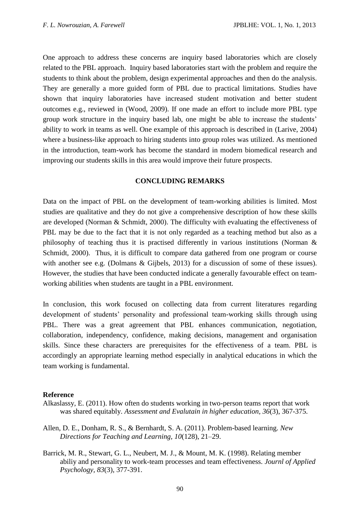One approach to address these concerns are inquiry based laboratories which are closely related to the PBL approach. Inquiry based laboratories start with the problem and require the students to think about the problem, design experimental approaches and then do the analysis. They are generally a more guided form of PBL due to practical limitations. Studies have shown that inquiry laboratories have increased student motivation and better student outcomes e.g., reviewed in [\(Wood, 2009\)](#page-8-12). If one made an effort to include more PBL type group work structure in the inquiry based lab, one might be able to increase the students' ability to work in teams as well. One example of this approach is described in [\(Larive, 2004\)](#page-7-14) where a business-like approach to hiring students into group roles was utilized. As mentioned in the introduction, team-work has become the standard in modern biomedical research and improving our students skills in this area would improve their future prospects.

# **CONCLUDING REMARKS**

Data on the impact of PBL on the development of team-working abilities is limited. Most studies are qualitative and they do not give a comprehensive description of how these skills are developed [\(Norman & Schmidt, 2000\)](#page-8-5). The difficulty with evaluating the effectiveness of PBL may be due to the fact that it is not only regarded as a teaching method but also as a philosophy of teaching thus it is practised differently in various institutions [\(Norman &](#page-8-5)  [Schmidt, 2000\)](#page-8-5). Thus, it is difficult to compare data gathered from one program or course with another see e.g. [\(Dolmans & Gijbels, 2013\)](#page-7-8) for a discussion of some of these issues). However, the studies that have been conducted indicate a generally favourable effect on teamworking abilities when students are taught in a PBL environment.

In conclusion, this work focused on collecting data from current literatures regarding development of students' personality and professional team-working skills through using PBL. There was a great agreement that PBL enhances communication, negotiation, collaboration, independency, confidence, making decisions, management and organisation skills. Since these characters are prerequisites for the effectiveness of a team. PBL is accordingly an appropriate learning method especially in analytical educations in which the team working is fundamental.

### **Reference**

- <span id="page-6-1"></span><span id="page-6-0"></span>Alkaslassy, E. (2011). How often do students working in two-person teams report that work was shared equitably. *Assessment and Evalutain in higher education, 36*(3), 367-375.
- <span id="page-6-2"></span>Allen, D. E., Donham, R. S., & Bernhardt, S. A. (2011). Problem-based learning. *New Directions for Teaching and Learning, 10*(128), 21–29.
- Barrick, M. R., Stewart, G. L., Neubert, M. J., & Mount, M. K. (1998). Relating member abiliy and personality to work-team processes and team effectiveness. *Journl of Applied Psychology, 83*(3), 377-391.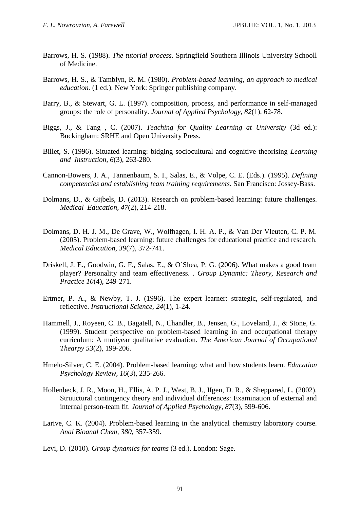- <span id="page-7-6"></span>Barrows, H. S. (1988). *The tutorial process*. Springfield Southern Illinois University Schooll of Medicine.
- <span id="page-7-2"></span>Barrows, H. S., & Tamblyn, R. M. (1980). *Problem-based learning, an approach to medical education.* (1 ed.). New York: Springer publishing company.
- <span id="page-7-10"></span>Barry, B., & Stewart, G. L. (1997). composition, process, and performance in self-managed groups: the role of personality. *Journal of Applied Psychology, 82*(1), 62-78.
- <span id="page-7-3"></span>Biggs, J., & Tang , C. (2007). *Teaching for Quality Learning at University* (3d ed.): Buckingham: SRHE and Open University Press.
- <span id="page-7-5"></span>Billet, S. (1996). Situated learning: bidging sociocultural and cognitive theorising *Learning and Instruction, 6*(3), 263-280.
- <span id="page-7-12"></span>Cannon-Bowers, J. A., Tannenbaum, S. I., Salas, E., & Volpe, C. E. (Eds.). (1995). *Defining competencies and establishing team training requirements.* San Francisco: Jossey-Bass.
- <span id="page-7-8"></span>Dolmans, D., & Gijbels, D. (2013). Research on problem-based learning: future challenges. *Medical Education, 47*(2), 214-218.
- <span id="page-7-9"></span>Dolmans, D. H. J. M., De Grave, W., Wolfhagen, I. H. A. P., & Van Der Vleuten, C. P. M. (2005). Problem-based learning: future challenges for educational practice and research. *Medical Education, 39*(7), 372-741.
- <span id="page-7-4"></span>Driskell, J. E., Goodwin, G. F., Salas, E., & O´Shea, P. G. (2006). What makes a good team player? Personality and team effectiveness. . *Group Dynamic: Theory, Research and Practice 10*(4), 249-271.
- <span id="page-7-13"></span>Ertmer, P. A., & Newby, T. J. (1996). The expert learner: strategic, self-regulated, and reflective. *Instructional Science, 24*(1), 1-24.
- Hammell, J., Royeen, C. B., Bagatell, N., Chandler, B., Jensen, G., Loveland, J., & Stone, G. (1999). Student perspective on problem-based learning in and occupational therapy curriculum: A mutiyear qualitative evaluation. *The American Journal of Occupational Thearpy 53*(2), 199-206.
- <span id="page-7-11"></span><span id="page-7-7"></span>Hmelo-Silver, C. E. (2004). Problem-based learning: what and how students learn. *Education Psychology Review, 16*(3), 235-266.
- <span id="page-7-14"></span>Hollenbeck, J. R., Moon, H., Ellis, A. P. J., West, B. J., IIgen, D. R., & Sheppared, L. (2002). Struuctural contingency theory and individual differences: Examination of external and internal person-team fit. *Journal of Applied Psychology, 87*(3), 599-606.
- <span id="page-7-0"></span>Larive, C. K. (2004). Problem-based learning in the analytical chemistry laboratory course. *Anal Bioanal Chem, 380*, 357-359.
- <span id="page-7-1"></span>Levi, D. (2010). *Group dynamics for teams* (3 ed.). London: Sage.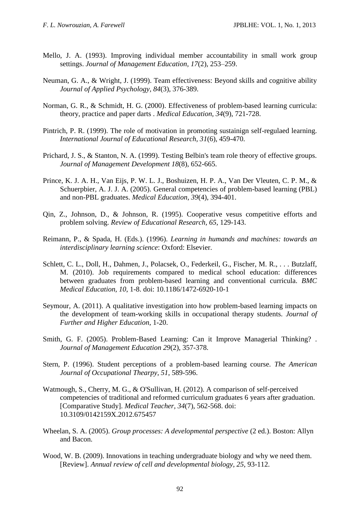- <span id="page-8-8"></span>Mello, J. A. (1993). Improving individual member accountability in small work group settings. *Journal of Management Education, 17*(2), 253–259.
- <span id="page-8-5"></span>Neuman, G. A., & Wright, J. (1999). Team effectiveness: Beyond skills and cognitive ability *Journal of Applied Psychology, 84*(3), 376-389.
- <span id="page-8-1"></span>Norman, G. R., & Schmidt, H. G. (2000). Effectiveness of problem-based learning curricula: theory, practice and paper darts . *Medical Education, 34*(9), 721-728.
- <span id="page-8-6"></span>Pintrich, P. R. (1999). The role of motivation in promoting sustainign self-regulaed learning. *International Journal of Educational Research, 31*(6), 459-470.
- <span id="page-8-9"></span>Prichard, J. S., & Stanton, N. A. (1999). Testing Belbin's team role theory of effective groups. *Journal of Management Development 18*(8), 652-665.
- <span id="page-8-3"></span>Prince, K. J. A. H., Van Eijs, P. W. L. J., Boshuizen, H. P. A., Van Der Vleuten, C. P. M., & Schuerpbier, A. J. J. A. (2005). General competencies of problem-based learning (PBL) and non-PBL graduates. *Medical Education, 39*(4), 394-401.
- <span id="page-8-2"></span>Qin, Z., Johnson, D., & Johnson, R. (1995). Cooperative vesus competitive efforts and problem solving. *Review of Educational Research, 65*, 129-143.
- <span id="page-8-11"></span>Reimann, P., & Spada, H. (Eds.). (1996). *Learning in humands and machines: towards an interdisciplinary learning science*: Oxford: Elsevier.
- Schlett, C. L., Doll, H., Dahmen, J., Polacsek, O., Federkeil, G., Fischer, M. R., . . . Butzlaff, M. (2010). Job requirements compared to medical school education: differences between graduates from problem-based learning and conventional curricula. *BMC Medical Education, 10*, 1-8. doi: 10.1186/1472-6920-10-1
- <span id="page-8-4"></span><span id="page-8-0"></span>Seymour, A. (2011). A qualitative investigation into how problem-based learning impacts on the development of team-working skills in occupational therapy students. *Journal of Further and Higher Education*, 1-20.
- Smith, G. F. (2005). Problem-Based Learning: Can it Improve Managerial Thinking? . *Journal of Management Education 29*(2), 357-378.
- <span id="page-8-10"></span>Stern, P. (1996). Student perceptions of a problem-based learning course. *The American Journal of Occupational Thearpy, 51*, 589-596.
- Watmough, S., Cherry, M. G., & O'Sullivan, H. (2012). A comparison of self-perceived competencies of traditional and reformed curriculum graduates 6 years after graduation. [Comparative Study]. *Medical Teacher, 34*(7), 562-568. doi: 10.3109/0142159X.2012.675457
- <span id="page-8-12"></span><span id="page-8-7"></span>Wheelan, S. A. (2005). *Group processes: A developmental perspective* (2 ed.). Boston: Allyn and Bacon.
- Wood, W. B. (2009). Innovations in teaching undergraduate biology and why we need them. [Review]. *Annual review of cell and developmental biology, 25*, 93-112.